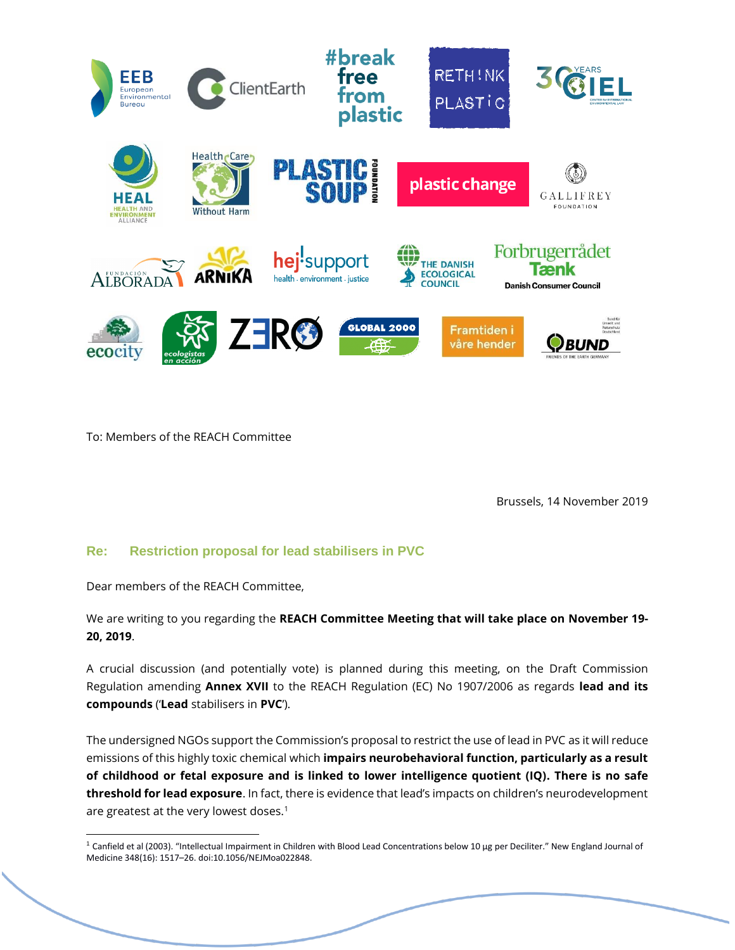

To: Members of the REACH Committee

Brussels, 14 November 2019

## **Re: Restriction proposal for lead stabilisers in PVC**

Dear members of the REACH Committee,

We are writing to you regarding the **REACH Committee Meeting that will take place on November 19- 20, 2019**.

A crucial discussion (and potentially vote) is planned during this meeting, on the Draft Commission Regulation amending **Annex XVII** to the REACH Regulation (EC) No 1907/2006 as regards **lead and its compounds** ('**Lead** stabilisers in **PVC**').

The undersigned NGOs support the Commission's proposal to restrict the use of lead in PVC as it will reduce emissions of this highly toxic chemical which **impairs neurobehavioral function, particularly as a result of childhood or fetal exposure and is linked to lower intelligence quotient (IQ). There is no safe threshold for lead exposure**. In fact, there is evidence that lead's impacts on children's neurodevelopment are greatest at the very lowest doses.<sup>1</sup>

<sup>&</sup>lt;sup>1</sup> Canfield et al (2003). "Intellectual Impairment in Children with Blood Lead Concentrations below 10 μg per Deciliter." New England Journal of Medicine 348(16): 1517–26. doi:10.1056/NEJMoa022848.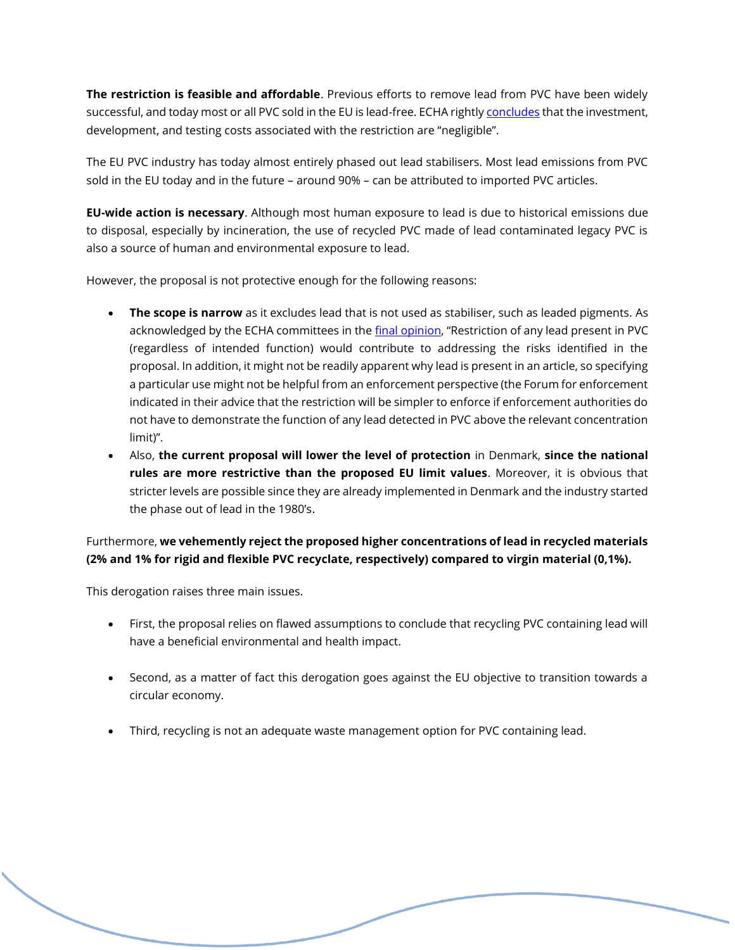**The restriction is feasible and affordable**. Previous efforts to remove lead from PVC have been widely successful, and today most or all PVC sold in the EU is lead-free. ECHA rightl[y concludes](https://echa.europa.eu/registry-of-restriction-intentions/-/dislist/details/0b0236e180a40af7) that the investment, development, and testing costs associated with the restriction are "negligible".

The EU PVC industry has today almost entirely phased out lead stabilisers. Most lead emissions from PVC sold in the EU today and in the future – around 90% – can be attributed to imported PVC articles.

**EU-wide action is necessary**. Although most human exposure to lead is due to historical emissions due to disposal, especially by incineration, the use of recycled PVC made of lead contaminated legacy PVC is also a source of human and environmental exposure to lead.

However, the proposal is not protective enough for the following reasons:

- **The scope is narrow** as it excludes lead that is not used as stabiliser, such as leaded pigments. As acknowledged by the ECHA committees in th[e final opinion](https://echa.europa.eu/registry-of-restriction-intentions/-/dislist/details/0b0236e180a40af7), "Restriction of any lead present in PVC (regardless of intended function) would contribute to addressing the risks identified in the proposal. In addition, it might not be readily apparent why lead is present in an article, so specifying a particular use might not be helpful from an enforcement perspective (the Forum for enforcement indicated in their advice that the restriction will be simpler to enforce if enforcement authorities do not have to demonstrate the function of any lead detected in PVC above the relevant concentration limit)".
- Also, **the current proposal will lower the level of protection** in Denmark, **since the national rules are more restrictive than the proposed EU limit values**. Moreover, it is obvious that stricter levels are possible since they are already implemented in Denmark and the industry started the phase out of lead in the 1980's.

# Furthermore, **we vehemently reject the proposed higher concentrations of lead in recycled materials (2% and 1% for rigid and flexible PVC recyclate, respectively) compared to virgin material (0,1%).**

This derogation raises three main issues.

- First, the proposal relies on flawed assumptions to conclude that recycling PVC containing lead will have a beneficial environmental and health impact.
- Second, as a matter of fact this derogation goes against the EU objective to transition towards a circular economy.
- Third, recycling is not an adequate waste management option for PVC containing lead.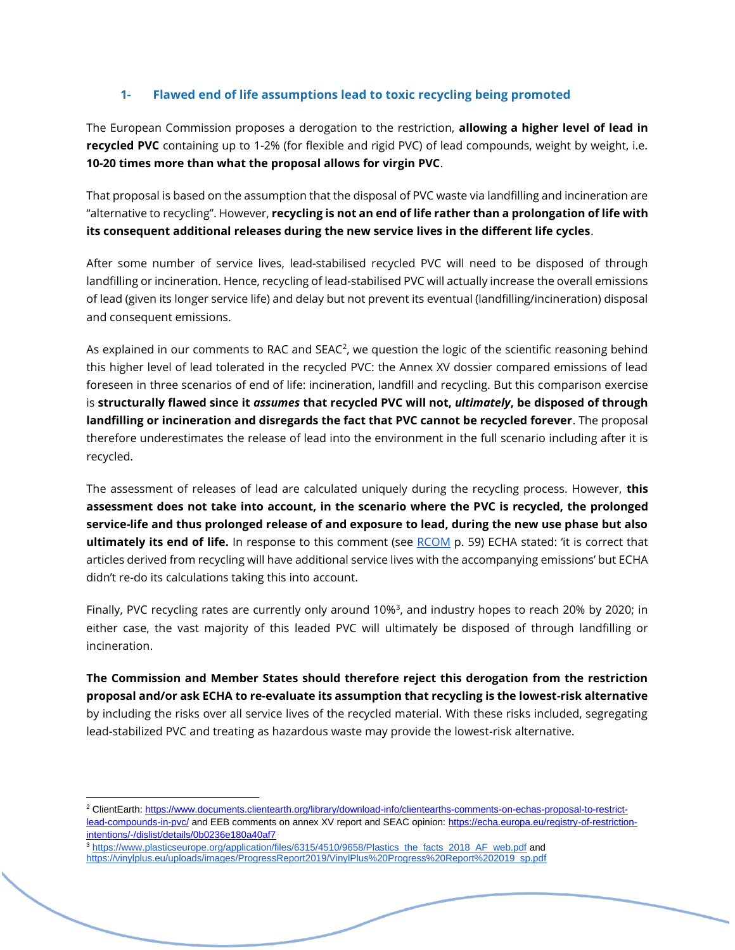## **1- Flawed end of life assumptions lead to toxic recycling being promoted**

The European Commission proposes a derogation to the restriction, **allowing a higher level of lead in recycled PVC** containing up to 1-2% (for flexible and rigid PVC) of lead compounds, weight by weight, i.e. **10-20 times more than what the proposal allows for virgin PVC**.

That proposal is based on the assumption that the disposal of PVC waste via landfilling and incineration are "alternative to recycling". However, **recycling is not an end of life rather than a prolongation of life with its consequent additional releases during the new service lives in the different life cycles**.

After some number of service lives, lead-stabilised recycled PVC will need to be disposed of through landfilling or incineration. Hence, recycling of lead-stabilised PVC will actually increase the overall emissions of lead (given its longer service life) and delay but not prevent its eventual (landfilling/incineration) disposal and consequent emissions.

As explained in our comments to RAC and SEAC<sup>2</sup>, we question the logic of the scientific reasoning behind this higher level of lead tolerated in the recycled PVC: the Annex XV dossier compared emissions of lead foreseen in three scenarios of end of life: incineration, landfill and recycling. But this comparison exercise is **structurally flawed since it** *assumes* **that recycled PVC will not,** *ultimately***, be disposed of through landfilling or incineration and disregards the fact that PVC cannot be recycled forever**. The proposal therefore underestimates the release of lead into the environment in the full scenario including after it is recycled.

The assessment of releases of lead are calculated uniquely during the recycling process. However, **this assessment does not take into account, in the scenario where the PVC is recycled, the prolonged service-life and thus prolonged release of and exposure to lead, during the new use phase but also ultimately its end of life.** In response to this comment (see [RCOM](https://echa.europa.eu/registry-of-restriction-intentions/-/dislist/details/0b0236e180a40af7) p. 59) ECHA stated: 'it is correct that articles derived from recycling will have additional service lives with the accompanying emissions' but ECHA didn't re-do its calculations taking this into account.

Finally, PVC recycling rates are currently only around 10%<sup>3</sup>, and industry hopes to reach 20% by 2020; in either case, the vast majority of this leaded PVC will ultimately be disposed of through landfilling or incineration.

**The Commission and Member States should therefore reject this derogation from the restriction proposal and/or ask ECHA to re-evaluate its assumption that recycling is the lowest-risk alternative**  by including the risks over all service lives of the recycled material. With these risks included, segregating lead-stabilized PVC and treating as hazardous waste may provide the lowest-risk alternative.

<sup>2</sup> ClientEarth: [https://www.documents.clientearth.org/library/download-info/clientearths-comments-on-echas-proposal-to-restrict](https://www.documents.clientearth.org/library/download-info/clientearths-comments-on-echas-proposal-to-restrict-lead-compounds-in-pvc/)[lead-compounds-in-pvc/](https://www.documents.clientearth.org/library/download-info/clientearths-comments-on-echas-proposal-to-restrict-lead-compounds-in-pvc/) and EEB comments on annex XV report and SEAC opinion[: https://echa.europa.eu/registry-of-restriction](https://echa.europa.eu/registry-of-restriction-intentions/-/dislist/details/0b0236e180a40af7)[intentions/-/dislist/details/0b0236e180a40af7](https://echa.europa.eu/registry-of-restriction-intentions/-/dislist/details/0b0236e180a40af7)

<sup>&</sup>lt;sup>3</sup> [https://www.plasticseurope.org/application/files/6315/4510/9658/Plastics\\_the\\_facts\\_2018\\_AF\\_web.pdf](https://www.plasticseurope.org/application/files/6315/4510/9658/Plastics_the_facts_2018_AF_web.pdf) and [https://vinylplus.eu/uploads/images/ProgressReport2019/VinylPlus%20Progress%20Report%202019\\_sp.pdf](https://vinylplus.eu/uploads/images/ProgressReport2019/VinylPlus%20Progress%20Report%202019_sp.pdf)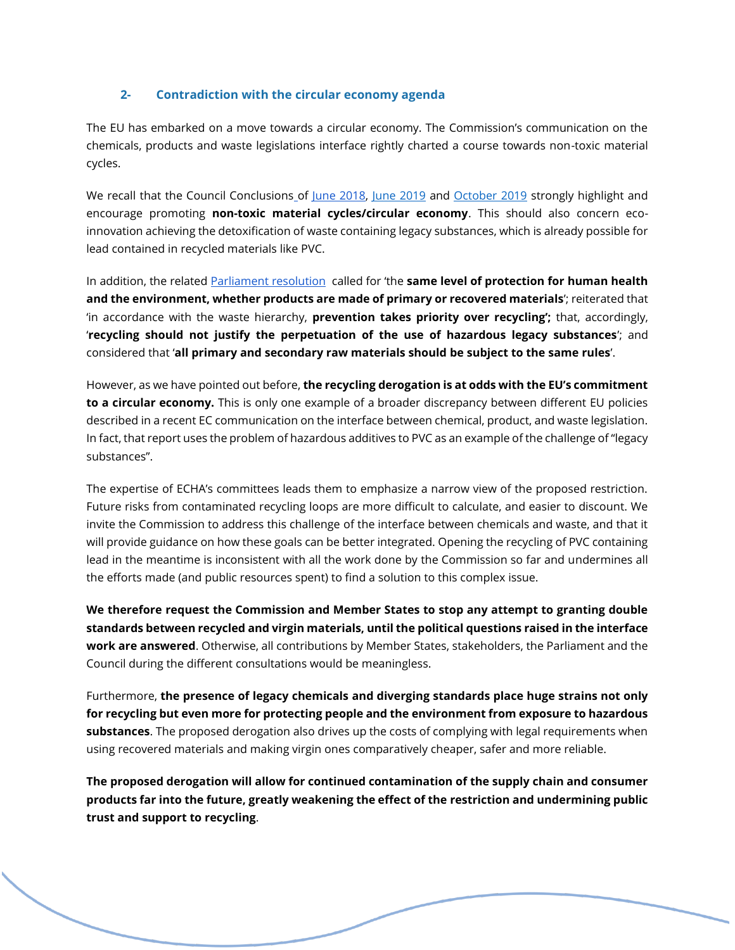### **2- Contradiction with the circular economy agenda**

The EU has embarked on a move towards a circular economy. The Commission's communication on the chemicals, products and waste legislations interface rightly charted a course towards non-toxic material cycles.

We recall that the Council Conclusions o[f](http://data.consilium.europa.eu/doc/document/ST-10447-2018-INIT/en/pdf) [June 2018,](http://data.consilium.europa.eu/doc/document/ST-10447-2018-INIT/en/pdf) [June 2019](http://data.consilium.europa.eu/doc/document/ST-10713-2019-INIT/en/pdf) an[d](https://www.consilium.europa.eu/media/40927/st12795-2019.pdf) [October 2019](https://www.consilium.europa.eu/media/40927/st12795-2019.pdf) strongly highlight and encourage promoting **non-toxic material cycles/circular economy**. This should also concern ecoinnovation achieving the detoxification of waste containing legacy substances, which is already possible for lead contained in recycled materials like PVC.

In addition, the related [Parliament resolution](https://www.europarl.europa.eu/doceo/document/TA-8-2018-0353_EN.html) called for 'the **same level of protection for human health and the environment, whether products are made of primary or recovered materials**'; reiterated that 'in accordance with the waste hierarchy, **prevention takes priority over recycling';** that, accordingly, '**recycling should not justify the perpetuation of the use of hazardous legacy substances**'; and considered that '**all primary and secondary raw materials should be subject to the same rules**'.

However, as we have pointed out before, **the recycling derogation is at odds with the EU's commitment to a circular economy.** This is only one example of a broader discrepancy between different EU policies described in a recent EC communication on the interface between chemical, product, and waste legislation. In fact, that report uses the problem of hazardous additives to PVC as an example of the challenge of "legacy substances".

The expertise of ECHA's committees leads them to emphasize a narrow view of the proposed restriction. Future risks from contaminated recycling loops are more difficult to calculate, and easier to discount. We invite the Commission to address this challenge of the interface between chemicals and waste, and that it will provide guidance on how these goals can be better integrated. Opening the recycling of PVC containing lead in the meantime is inconsistent with all the work done by the Commission so far and undermines all the efforts made (and public resources spent) to find a solution to this complex issue.

**We therefore request the Commission and Member States to stop any attempt to granting double standards between recycled and virgin materials, until the political questions raised in the interface work are answered**. Otherwise, all contributions by Member States, stakeholders, the Parliament and the Council during the different consultations would be meaningless.

Furthermore, **the presence of legacy chemicals and diverging standards place huge strains not only for recycling but even more for protecting people and the environment from exposure to hazardous substances**. The proposed derogation also drives up the costs of complying with legal requirements when using recovered materials and making virgin ones comparatively cheaper, safer and more reliable.

**The proposed derogation will allow for continued contamination of the supply chain and consumer products far into the future, greatly weakening the effect of the restriction and undermining public trust and support to recycling**.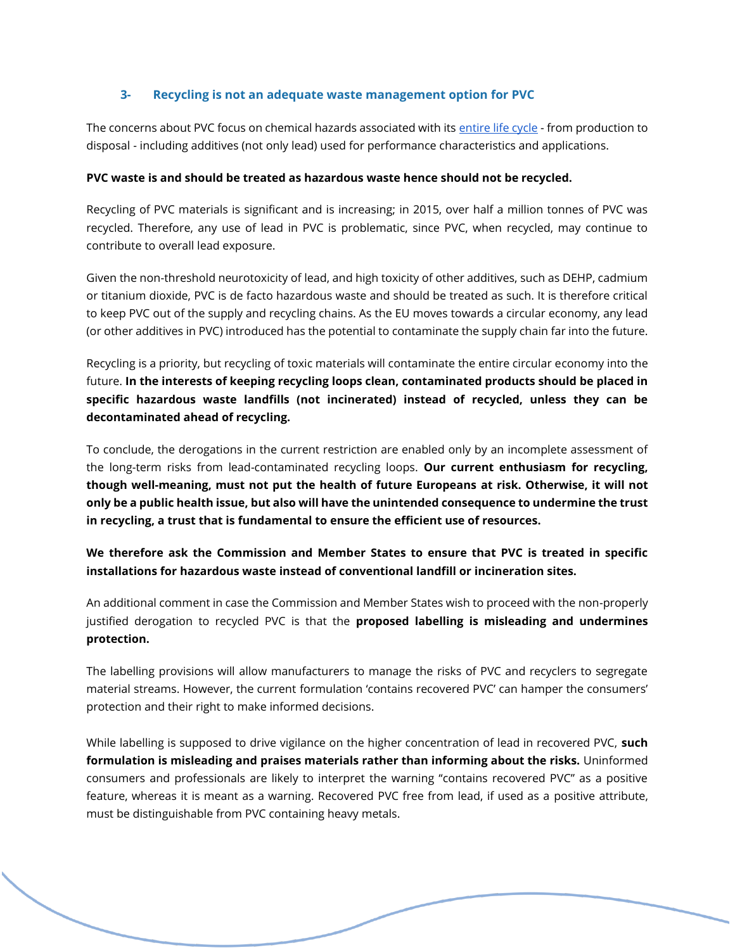### **3- Recycling is not an adequate waste management option for PVC**

The concerns about PVC focus on chemical hazards associated with its [entire life cycle](https://www.ciel.org/wp-content/uploads/2019/02/Plastic-and-Health-The-Hidden-Costs-of-a-Plastic-Planet-February-2019.pdf) - from production to disposal - including additives (not only lead) used for performance characteristics and applications.

#### **PVC waste is and should be treated as hazardous waste hence should not be recycled.**

Recycling of PVC materials is significant and is increasing; in 2015, over half a million tonnes of PVC was recycled. Therefore, any use of lead in PVC is problematic, since PVC, when recycled, may continue to contribute to overall lead exposure.

Given the non-threshold neurotoxicity of lead, and high toxicity of other additives, such as DEHP, cadmium or titanium dioxide, PVC is de facto hazardous waste and should be treated as such. It is therefore critical to keep PVC out of the supply and recycling chains. As the EU moves towards a circular economy, any lead (or other additives in PVC) introduced has the potential to contaminate the supply chain far into the future.

Recycling is a priority, but recycling of toxic materials will contaminate the entire circular economy into the future. **In the interests of keeping recycling loops clean, contaminated products should be placed in specific hazardous waste landfills (not incinerated) instead of recycled, unless they can be decontaminated ahead of recycling.**

To conclude, the derogations in the current restriction are enabled only by an incomplete assessment of the long-term risks from lead-contaminated recycling loops. **Our current enthusiasm for recycling, though well-meaning, must not put the health of future Europeans at risk. Otherwise, it will not only be a public health issue, but also will have the unintended consequence to undermine the trust in recycling, a trust that is fundamental to ensure the efficient use of resources.**

**We therefore ask the Commission and Member States to ensure that PVC is treated in specific installations for hazardous waste instead of conventional landfill or incineration sites.**

An additional comment in case the Commission and Member States wish to proceed with the non-properly justified derogation to recycled PVC is that the **proposed labelling is misleading and undermines protection.**

The labelling provisions will allow manufacturers to manage the risks of PVC and recyclers to segregate material streams. However, the current formulation 'contains recovered PVC' can hamper the consumers' protection and their right to make informed decisions.

While labelling is supposed to drive vigilance on the higher concentration of lead in recovered PVC, **such formulation is misleading and praises materials rather than informing about the risks.** Uninformed consumers and professionals are likely to interpret the warning "contains recovered PVC" as a positive feature, whereas it is meant as a warning. Recovered PVC free from lead, if used as a positive attribute, must be distinguishable from PVC containing heavy metals.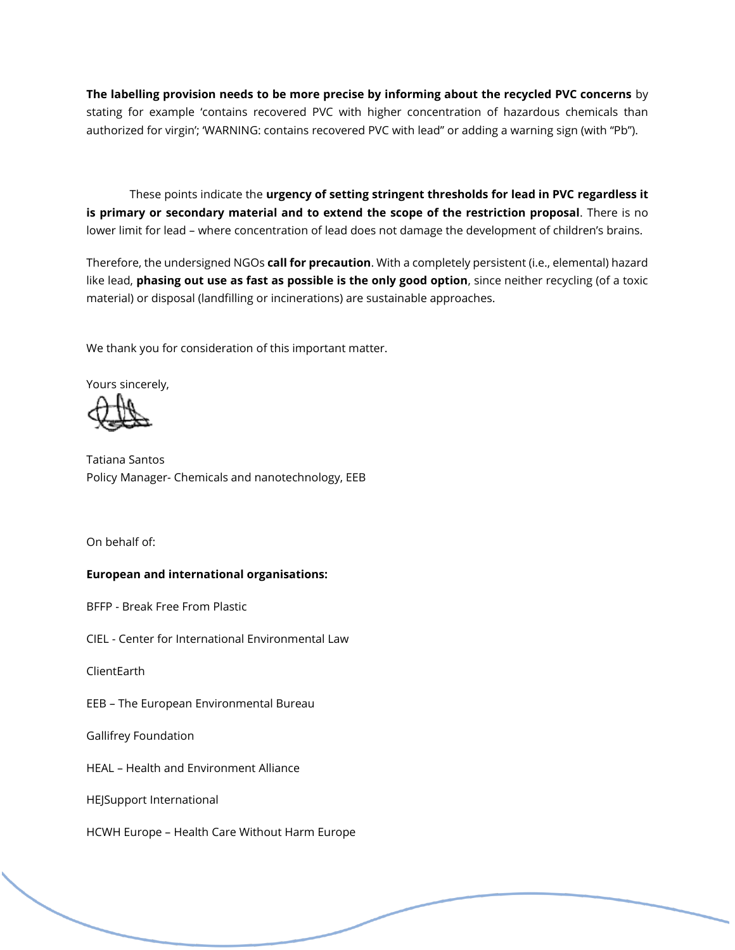**The labelling provision needs to be more precise by informing about the recycled PVC concerns** by stating for example 'contains recovered PVC with higher concentration of hazardous chemicals than authorized for virgin'; 'WARNING: contains recovered PVC with lead" or adding a warning sign (with "Pb").

These points indicate the **urgency of setting stringent thresholds for lead in PVC regardless it is primary or secondary material and to extend the scope of the restriction proposal**. There is no lower limit for lead – where concentration of lead does not damage the development of children's brains.

Therefore, the undersigned NGOs **call for precaution**. With a completely persistent (i.e., elemental) hazard like lead, **phasing out use as fast as possible is the only good option**, since neither recycling (of a toxic material) or disposal (landfilling or incinerations) are sustainable approaches.

We thank you for consideration of this important matter.

Yours sincerely,

Tatiana Santos Policy Manager- Chemicals and nanotechnology, EEB

On behalf of:

### **European and international organisations:**

BFFP - Break Free From Plastic

CIEL - Center for International Environmental Law

ClientEarth

EEB – The European Environmental Bureau

Gallifrey Foundation

HEAL – Health and Environment Alliance

HEJSupport International

HCWH Europe – Health Care Without Harm Europe